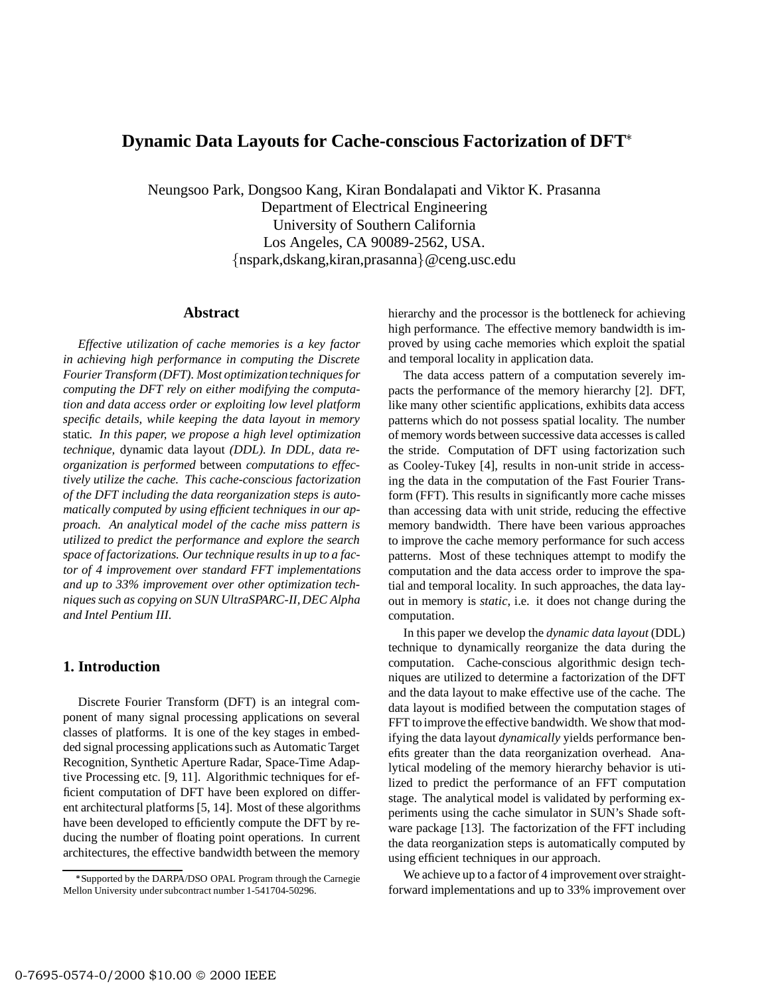# **Dynamic Data Layouts for Cache-conscious Factorization of DFT**

Neungsoo Park, Dongsoo Kang, Kiran Bondalapati and Viktor K. Prasanna Department of Electrical Engineering University of Southern California Los Angeles, CA 90089-2562, USA.  $\{n$ spark,dskang,kiran,prasanna $\}$ @ceng.usc.edu

#### **Abstract**

*Effective utilization of cache memories is a key factor in achieving high performance in computing the Discrete Fourier Transform (DFT). Most optimizationtechniques for computing the DFT rely on either modifying the computation and data access order or exploiting low level platform specific details, while keeping the data layout in memory* static*. In this paper, we propose a high level optimization technique,* dynamic data layout *(DDL). In DDL, data reorganization is performed* between *computations to effectively utilize the cache. This cache-conscious factorization of the DFT including the data reorganization steps is automatically computed by using efficient techniques in our approach. An analytical model of the cache miss pattern is utilized to predict the performance and explore the search space of factorizations. Our technique results in up to a factor of 4 improvement over standard FFT implementations and up to 33% improvement over other optimization techniques such as copying on SUN UltraSPARC-II, DEC Alpha and Intel Pentium III.*

## **1. Introduction**

Discrete Fourier Transform (DFT) is an integral component of many signal processing applications on several classes of platforms. It is one of the key stages in embedded signal processing applications such as Automatic Target Recognition, Synthetic Aperture Radar, Space-Time Adaptive Processing etc. [9, 11]. Algorithmic techniques for efficient computation of DFT have been explored on different architectural platforms [5, 14]. Most of these algorithms have been developed to efficiently compute the DFT by reducing the number of floating point operations. In current architectures, the effective bandwidth between the memory

hierarchy and the processor is the bottleneck for achieving high performance. The effective memory bandwidth is improved by using cache memories which exploit the spatial and temporal locality in application data.

The data access pattern of a computation severely impacts the performance of the memory hierarchy [2]. DFT, like many other scientific applications, exhibits data access patterns which do not possess spatial locality. The number of memory words between successive data accesses is called the stride. Computation of DFT using factorization such as Cooley-Tukey [4], results in non-unit stride in accessing the data in the computation of the Fast Fourier Transform (FFT). This results in significantly more cache misses than accessing data with unit stride, reducing the effective memory bandwidth. There have been various approaches to improve the cache memory performance for such access patterns. Most of these techniques attempt to modify the computation and the data access order to improve the spatial and temporal locality. In such approaches, the data layout in memory is *static*, i.e. it does not change during the computation.

In this paper we develop the *dynamic data layout* (DDL) technique to dynamically reorganize the data during the computation. Cache-conscious algorithmic design techniques are utilized to determine a factorization of the DFT and the data layout to make effective use of the cache. The data layout is modified between the computation stages of FFT to improve the effective bandwidth. We show that modifying the data layout *dynamically* yields performance benefits greater than the data reorganization overhead. Analytical modeling of the memory hierarchy behavior is utilized to predict the performance of an FFT computation stage. The analytical model is validated by performing experiments using the cache simulator in SUN's Shade software package [13]. The factorization of the FFT including the data reorganization steps is automatically computed by using efficient techniques in our approach.

We achieve up to a factor of 4 improvement over straightforward implementations and up to 33% improvement over

Supported by the DARPA/DSO OPAL Program through the Carnegie Mellon University under subcontract number 1-541704-50296.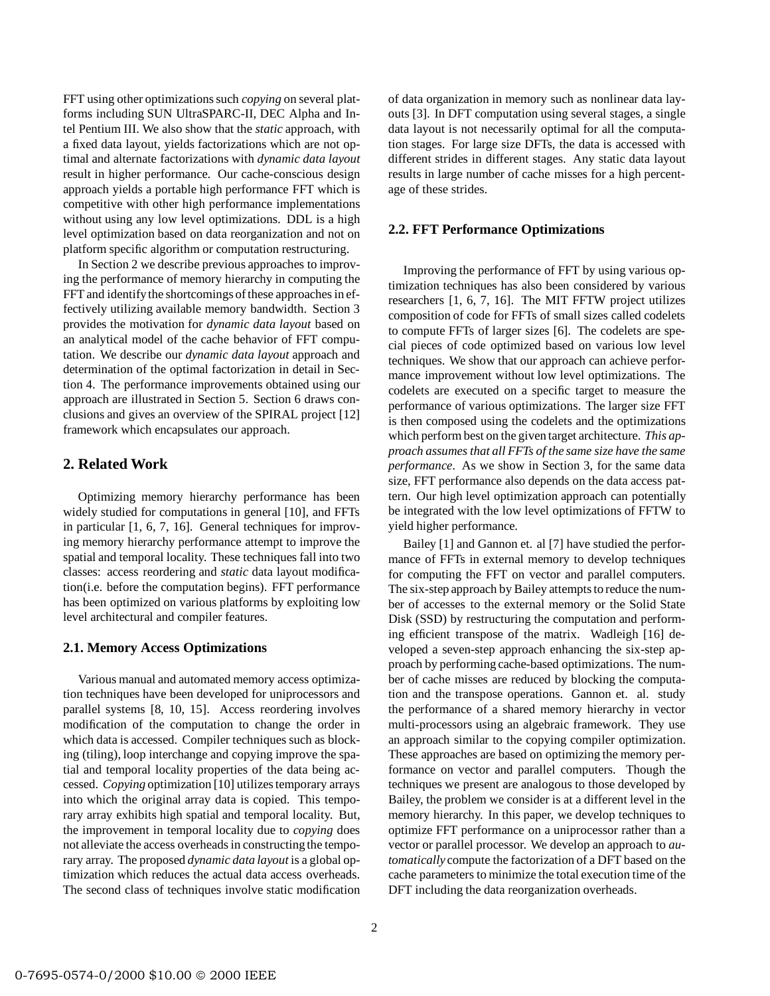FFT using other optimizations such *copying* on several platforms including SUN UltraSPARC-II, DEC Alpha and Intel Pentium III. We also show that the *static* approach, with a fixed data layout, yields factorizations which are not optimal and alternate factorizations with *dynamic data layout* result in higher performance. Our cache-conscious design approach yields a portable high performance FFT which is competitive with other high performance implementations without using any low level optimizations. DDL is a high level optimization based on data reorganization and not on platform specific algorithm or computation restructuring.

In Section 2 we describe previous approaches to improving the performance of memory hierarchy in computing the FFT and identifythe shortcomings of these approaches in effectively utilizing available memory bandwidth. Section 3 provides the motivation for *dynamic data layout* based on an analytical model of the cache behavior of FFT computation. We describe our *dynamic data layout* approach and determination of the optimal factorization in detail in Section 4. The performance improvements obtained using our approach are illustrated in Section 5. Section 6 draws conclusions and gives an overview of the SPIRAL project [12] framework which encapsulates our approach.

## **2. Related Work**

Optimizing memory hierarchy performance has been widely studied for computations in general [10], and FFTs in particular [1, 6, 7, 16]. General techniques for improving memory hierarchy performance attempt to improve the spatial and temporal locality. These techniques fall into two classes: access reordering and *static* data layout modification(i.e. before the computation begins). FFT performance has been optimized on various platforms by exploiting low level architectural and compiler features.

#### **2.1. Memory Access Optimizations**

Various manual and automated memory access optimization techniques have been developed for uniprocessors and parallel systems [8, 10, 15]. Access reordering involves modification of the computation to change the order in which data is accessed. Compiler techniques such as blocking (tiling), loop interchange and copying improve the spatial and temporal locality properties of the data being accessed. *Copying* optimization [10] utilizes temporary arrays into which the original array data is copied. This temporary array exhibits high spatial and temporal locality. But, the improvement in temporal locality due to *copying* does not alleviate the access overheads in constructing the temporary array. The proposed *dynamic data layout* is a global optimization which reduces the actual data access overheads. The second class of techniques involve static modification of data organization in memory such as nonlinear data layouts [3]. In DFT computation using several stages, a single data layout is not necessarily optimal for all the computation stages. For large size DFTs, the data is accessed with different strides in different stages. Any static data layout results in large number of cache misses for a high percentage of these strides.

### **2.2. FFT Performance Optimizations**

Improving the performance of FFT by using various optimization techniques has also been considered by various researchers [1, 6, 7, 16]. The MIT FFTW project utilizes composition of code for FFTs of small sizes called codelets to compute FFTs of larger sizes [6]. The codelets are special pieces of code optimized based on various low level techniques. We show that our approach can achieve performance improvement without low level optimizations. The codelets are executed on a specific target to measure the performance of various optimizations. The larger size FFT is then composed using the codelets and the optimizations which perform best on the given target architecture. *This approach assumes that all FFTs of the same size have the same performance*. As we show in Section 3, for the same data size, FFT performance also depends on the data access pattern. Our high level optimization approach can potentially be integrated with the low level optimizations of FFTW to yield higher performance.

Bailey [1] and Gannon et. al [7] have studied the performance of FFTs in external memory to develop techniques for computing the FFT on vector and parallel computers. The six-step approach by Bailey attempts to reduce the number of accesses to the external memory or the Solid State Disk (SSD) by restructuring the computation and performing efficient transpose of the matrix. Wadleigh [16] developed a seven-step approach enhancing the six-step approach by performing cache-based optimizations. The number of cache misses are reduced by blocking the computation and the transpose operations. Gannon et. al. study the performance of a shared memory hierarchy in vector multi-processors using an algebraic framework. They use an approach similar to the copying compiler optimization. These approaches are based on optimizing the memory performance on vector and parallel computers. Though the techniques we present are analogous to those developed by Bailey, the problem we consider is at a different level in the memory hierarchy. In this paper, we develop techniques to optimize FFT performance on a uniprocessor rather than a vector or parallel processor. We develop an approach to *automatically* compute the factorization of a DFT based on the cache parameters to minimize the total execution time of the DFT including the data reorganization overheads.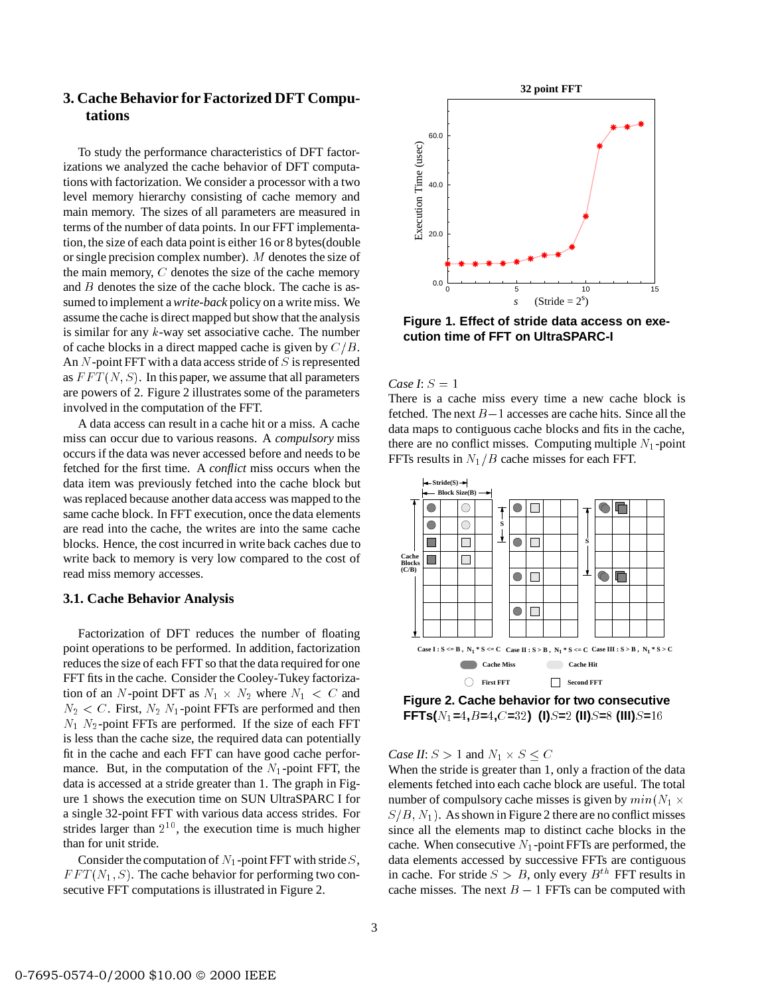## **3. Cache Behavior for Factorized DFT Computations**

To study the performance characteristics of DFT factorizations we analyzed the cache behavior of DFT computations with factorization. We consider a processor with a two level memory hierarchy consisting of cache memory and main memory. The sizes of all parameters are measured in terms of the number of data points. In our FFT implementation, the size of each data point is either 16 or 8 bytes(double or single precision complex number). <sup>M</sup> denotes the size of the main memory,  $C$  denotes the size of the cache memory and B denotes the size of the cache block. The cache is assumed to implement a*write-back* policy on a write miss. We assume the cache is direct mapped but show that the analysis is similar for any  $k$ -way set associative cache. The number of cache blocks in a direct mapped cache is given by  $C/B$ . An  $N$ -point FFT with a data access stride of  $S$  is represented as  $FFT(N, S)$ . In this paper, we assume that all parameters are powers of 2. Figure 2 illustrates some of the parameters involved in the computation of the FFT.

A data access can result in a cache hit or a miss. A cache miss can occur due to various reasons. A *compulsory* miss occurs if the data was never accessed before and needs to be fetched for the first time. A *conflict* miss occurs when the data item was previously fetched into the cache block but was replaced because another data access was mapped to the same cache block. In FFT execution, once the data elements are read into the cache, the writes are into the same cache blocks. Hence, the cost incurred in write back caches due to write back to memory is very low compared to the cost of read miss memory accesses.

#### **3.1. Cache Behavior Analysis**

Factorization of DFT reduces the number of floating point operations to be performed. In addition, factorization reduces the size of each FFT so that the data required for one FFT fits in the cache. Consider the Cooley-Tukey factorization of an N-point DFT as  $N_1 \times N_2$  where  $N_1 \lt C$  and  $N_2 < C$ . First,  $N_2 N_1$ -point FFTs are performed and then  $N_1$   $N_2$ -point FFTs are performed. If the size of each FFT is less than the cache size, the required data can potentially fit in the cache and each FFT can have good cache performance. But, in the computation of the  $N_1$ -point FFT, the data is accessed at a stride greater than 1. The graph in Figure 1 shows the execution time on SUN UltraSPARC I for a single 32-point FFT with various data access strides. For strides larger than  $2^{10}$ , the execution time is much higher than for unit stride.

Consider the computation of  $N_1$ -point FFT with stride  $S$ ,  $FFT(N_1, S)$ . The cache behavior for performing two consecutive FFT computations is illustrated in Figure 2.



**Figure 1. Effect of stride data access on execution time of FFT on UltraSPARC-I**

*Case I*:  $S = 1$ 

There is a cache miss every time a new cache block is fetched. The next  $B-1$  accesses are cache hits. Since all the data maps to contiguous cache blocks and fits in the cache, there are no conflict misses. Computing multiple  $N_1$ -point FFTs results in  $N_1/B$  cache misses for each FFT.



**Figure 2. Cache behavior for two consecutive FFTs(** $N_1$ **=**4, $B$ **=**4, $C$ **=**32**)** (I) $S$ **=**2 (II) $S$ **=**8 (III) $S$ =16

*Case II:*  $S > 1$  and  $N_1 \times S \leq C$ 

When the stride is greater than 1, only a fraction of the data elements fetched into each cache block are useful. The total number of compulsory cache misses is given by  $min(N_1 \times$  $S/B$ ,  $N_1$ ). As shown in Figure 2 there are no conflict misses since all the elements map to distinct cache blocks in the cache. When consecutive  $N_1$ -point FFTs are performed, the data elements accessed by successive FFTs are contiguous in cache. For stride  $S > B$ , only every  $B<sup>th</sup>$  FFT results in cache misses. The next  $B - 1$  FFTs can be computed with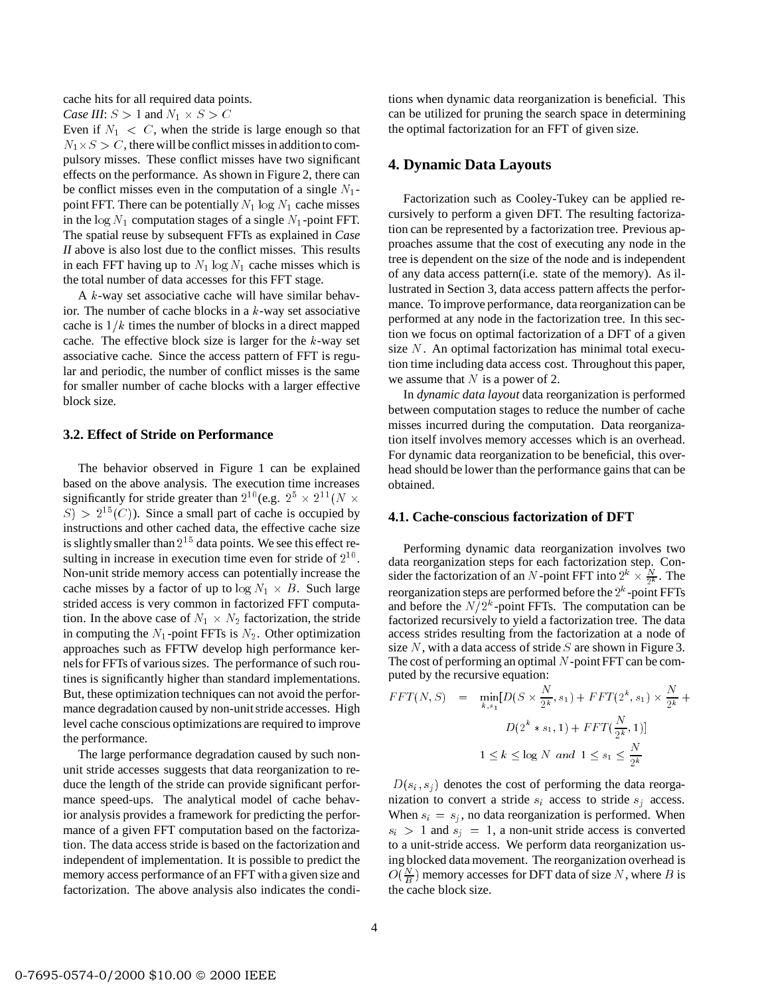cache hits for all required data points.

*Case III*:  $S > 1$  and  $N_1 \times S > C$ 

Even if  $N_1 < C$ , when the stride is large enough so that  $N_1 \times S > C$ , there will be conflict misses in addition to compulsory misses. These conflict misses have two significant effects on the performance. As shown in Figure 2, there can be conflict misses even in the computation of a single  $N_1$ point FFT. There can be potentially  $N_1 \log N_1$  cache misses in the  $\log N_1$  computation stages of a single  $N_1$ -point FFT. The spatial reuse by subsequent FFTs as explained in *Case II* above is also lost due to the conflict misses. This results in each FFT having up to  $N_1 \log N_1$  cache misses which is the total number of data accesses for this FFT stage.

A <sup>k</sup>-way set associative cache will have similar behavior. The number of cache blocks in a  $k$ -way set associative cache is  $1/k$  times the number of blocks in a direct mapped cache. The effective block size is larger for the <sup>k</sup>-way set associative cache. Since the access pattern of FFT is regular and periodic, the number of conflict misses is the same for smaller number of cache blocks with a larger effective block size.

#### **3.2. Effect of Stride on Performance**

The behavior observed in Figure 1 can be explained based on the above analysis. The execution time increases significantly for stride greater than  $2^{10}$ (e.g.  $2^5 \times 2^{11}$ (N  $\times$  $S > 2^{15}(C)$ ). Since a small part of cache is occupied by instructions and other cached data, the effective cache size is slightly smaller than  $2^{15}$  data points. We see this effect resulting in increase in execution time even for stride of  $2^{10}$ . Non-unit stride memory access can potentially increase the cache misses by a factor of up to  $\log N_1 \times B$ . Such large strided access is very common in factorized FFT computation. In the above case of  $N_1 \times N_2$  factorization, the stride in computing the  $N_1$ -point FFTs is  $N_2$ . Other optimization approaches such as FFTW develop high performance kernels for FFTs of various sizes. The performance of such routines is significantly higher than standard implementations. But, these optimization techniques can not avoid the performance degradation caused by non-unit stride accesses. High level cache conscious optimizations are required to improve the performance.

The large performance degradation caused by such nonunit stride accesses suggests that data reorganization to reduce the length of the stride can provide significant performance speed-ups. The analytical model of cache behavior analysis provides a framework for predicting the performance of a given FFT computation based on the factorization. The data access stride is based on the factorization and independent of implementation. It is possible to predict the memory access performance of an FFT with a given size and factorization. The above analysis also indicates the conditions when dynamic data reorganization is beneficial. This can be utilized for pruning the search space in determining the optimal factorization for an FFT of given size.

#### **4. Dynamic Data Layouts**

Factorization such as Cooley-Tukey can be applied recursively to perform a given DFT. The resulting factorization can be represented by a factorization tree. Previous approaches assume that the cost of executing any node in the tree is dependent on the size of the node and is independent of any data access pattern(i.e. state of the memory). As illustrated in Section 3, data access pattern affects the performance. To improve performance, data reorganization can be performed at any node in the factorization tree. In this section we focus on optimal factorization of a DFT of a given size  $N$ . An optimal factorization has minimal total execution time including data access cost. Throughout this paper, we assume that  $N$  is a power of 2.

In *dynamic data layout* data reorganization is performed between computation stages to reduce the number of cache misses incurred during the computation. Data reorganization itself involves memory accesses which is an overhead. For dynamic data reorganization to be beneficial, this overhead should be lower than the performance gains that can be obtained.

#### **4.1. Cache-conscious factorization of DFT**

Performing dynamic data reorganization involves two data reorganization steps for each factorization step. Consider the factorization of an N-point FFT into  $2^k \times \frac{N}{2^k}$ . The reorganization steps are performed before the  $2<sup>k</sup>$ -point FFTs and before the  $N/2<sup>k</sup>$ -point FFTs. The computation can be factorized recursively to yield a factorization tree. The data access strides resulting from the factorization at a node of size  $N$ , with a data access of stride  $S$  are shown in Figure 3. The cost of performing an optimal  $N$ -point FFT can be computed by the recursive equation:

$$
FFT(N, S) = \min_{k, s_1} [D(S \times \frac{N}{2^k}, s_1) + FFT(2^k, s_1) \times \frac{N}{2^k} + D(2^k * s_1, 1) + FFT(\frac{N}{2^k}, 1)]
$$
  

$$
1 \le k \le \log N \text{ and } 1 \le s_1 \le \frac{N}{2^k}
$$

 $D(s_i, s_j)$  denotes the cost of performing the data reorganization to convert a stride  $s_i$  access to stride  $s_j$  access. When  $s_i = s_j$ , no data reorganization is performed. When  $s_i > 1$  and  $s_j = 1$ , a non-unit stride access is converted to a unit-stride access. We perform data reorganization using blocked data movement. The reorganization overhead is  $O(\frac{N}{B})$  memory accesses for DFT data of size N, where B is the cache block size.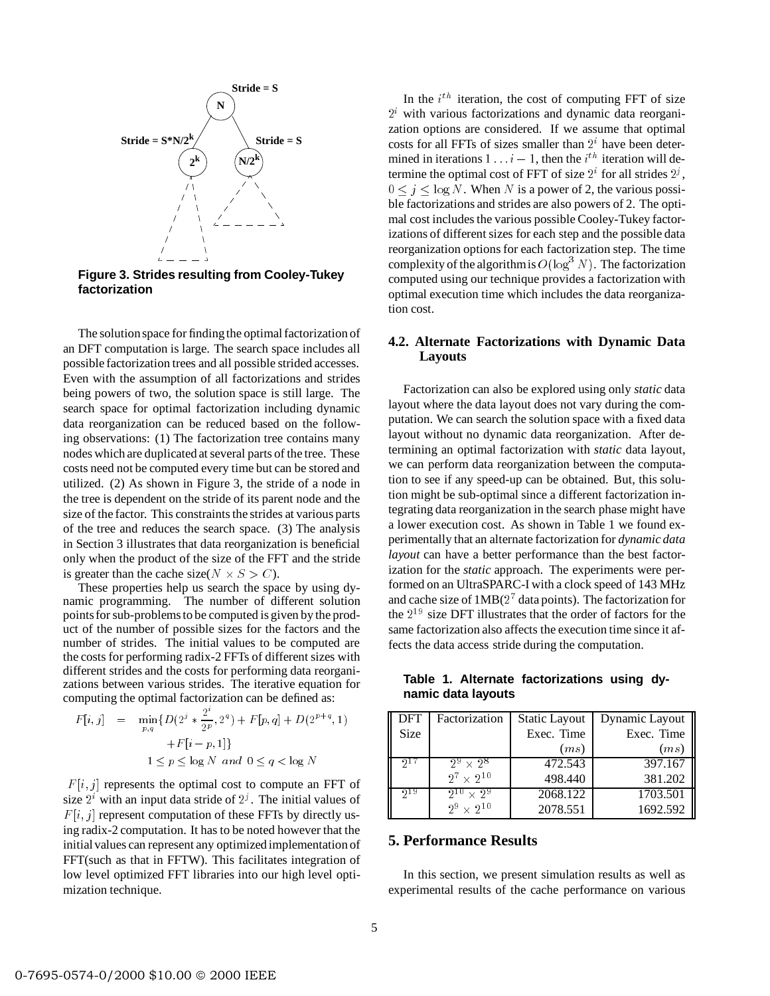

**Figure 3. Strides resulting from Cooley-Tukey factorization**

The solution space for finding the optimal factorization of an DFT computation is large. The search space includes all possible factorization trees and all possible strided accesses. Even with the assumption of all factorizations and strides being powers of two, the solution space is still large. The search space for optimal factorization including dynamic data reorganization can be reduced based on the following observations: (1) The factorization tree contains many nodes which are duplicated at several parts of the tree. These costs need not be computed every time but can be stored and utilized. (2) As shown in Figure 3, the stride of a node in the tree is dependent on the stride of its parent node and the size of the factor. This constraints the strides at various parts of the tree and reduces the search space. (3) The analysis in Section 3 illustrates that data reorganization is beneficial only when the product of the size of the FFT and the stride is greater than the cache size( $N \times S > C$ ).

These properties help us search the space by using dynamic programming. The number of different solution pointsfor sub-problems to be computed is given by the product of the number of possible sizes for the factors and the number of strides. The initial values to be computed are the costs for performing radix-2 FFTs of different sizes with different strides and the costs for performing data reorganizations between various strides. The iterative equation for computing the optimal factorization can be defined as:

$$
F[i,j] = \min_{p,q} \{ D(2^{j} * \frac{2^{i}}{2^{p}}, 2^{q}) + F[p,q] + D(2^{p+q}, 1) + F[i-p, 1] \}
$$
  

$$
1 \le p \le \log N \text{ and } 0 \le q < \log N
$$

 $F[i, j]$  represents the optimal cost to compute an FFT of size  $2<sup>i</sup>$  with an input data stride of  $2<sup>j</sup>$ . The initial values of  $F[i, j]$  represent computation of these FFTs by directly using radix-2 computation. It has to be noted however that the initial values can represent any optimized implementation of FFT(such as that in FFTW). This facilitates integration of low level optimized FFT libraries into our high level optimization technique.

In the  $i^{th}$  iteration, the cost of computing FFT of size  $2<sup>i</sup>$  with various factorizations and dynamic data reorganization options are considered. If we assume that optimal costs for all FFTs of sizes smaller than  $2<sup>i</sup>$  have been determined in iterations  $1 \ldots i-1$ , then the  $i^{th}$  iteration will determine the optimal cost of FFT of size  $2^i$  for all strides  $2^j$ ,  $0 \le j \le \log N$ . When N is a power of 2, the various possible factorizations and strides are also powers of 2. The optimal cost includes the various possible Cooley-Tukey factorizations of different sizes for each step and the possible data reorganization options for each factorization step. The time complexity of the algorithm is  $O(log^3 N)$ . The factorization computed using our technique provides a factorization with optimal execution time which includes the data reorganization cost.

### **4.2. Alternate Factorizations with Dynamic Data Layouts**

Factorization can also be explored using only *static* data layout where the data layout does not vary during the computation. We can search the solution space with a fixed data layout without no dynamic data reorganization. After determining an optimal factorization with *static* data layout, we can perform data reorganization between the computation to see if any speed-up can be obtained. But, this solution might be sub-optimal since a different factorization integrating data reorganization in the search phase might have a lower execution cost. As shown in Table 1 we found experimentally that an alternate factorization for *dynamic data layout* can have a better performance than the best factorization for the *static* approach. The experiments were performed on an UltraSPARC-I with a clock speed of 143 MHz and cache size of  $1MB(2<sup>7</sup>$  data points). The factorization for the  $2^{19}$  size DFT illustrates that the order of factors for the same factorization also affects the execution time since it affects the data access stride during the computation.

| Table 1. Alternate factorizations using dy- |  |  |
|---------------------------------------------|--|--|
| namic data layouts                          |  |  |

| <b>DFT</b>  | Factorization       | <b>Static Layout</b> | Dynamic Layout |
|-------------|---------------------|----------------------|----------------|
| <b>Size</b> |                     | Exec. Time           | Exec. Time     |
|             |                     | (ms)                 | (ms)           |
| 917         | $2^9 \times 2^8$    | 472.543              | 397.167        |
|             | $2^7 \times 2^{10}$ | 498.440              | 381.202        |
| 919         | $2^{10} \times 2^9$ | 2068.122             | 1703.501       |
|             | $2^9 \times 2^{10}$ | 2078.551             | 1692.592       |

## **5. Performance Results**

In this section, we present simulation results as well as experimental results of the cache performance on various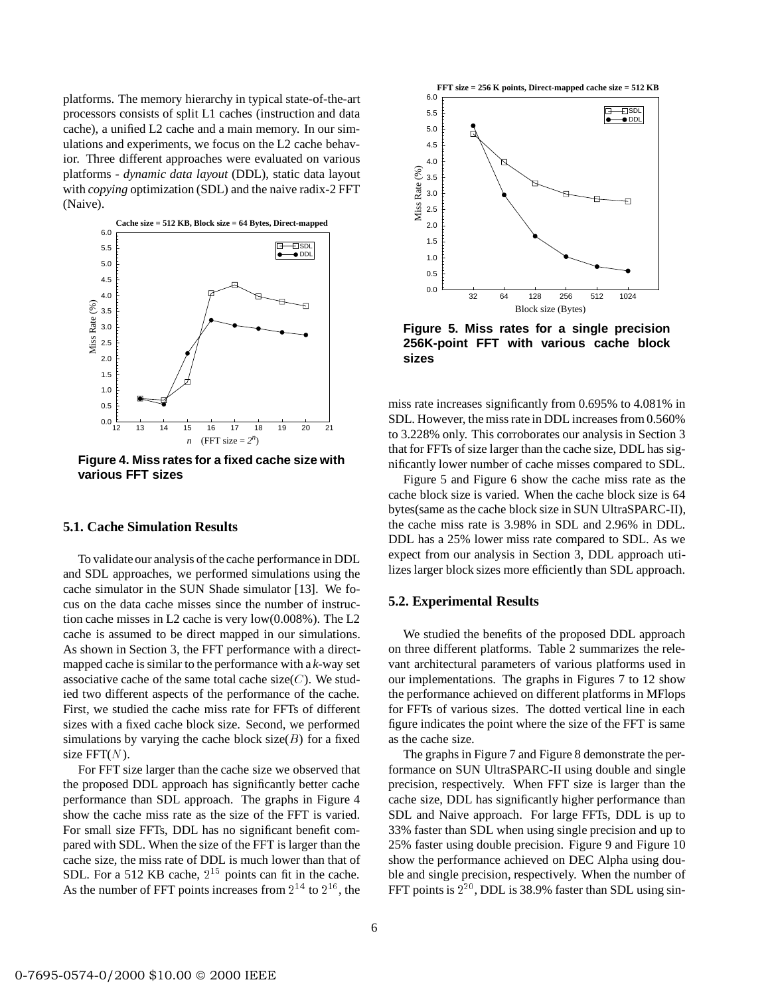platforms. The memory hierarchy in typical state-of-the-art processors consists of split L1 caches (instruction and data cache), a unified L2 cache and a main memory. In our simulations and experiments, we focus on the L2 cache behavior. Three different approaches were evaluated on various platforms - *dynamic data layout* (DDL), static data layout with *copying* optimization (SDL) and the naive radix-2 FFT (Naive).



**Figure 4. Miss rates for a fixed cache size with various FFT sizes**

### **5.1. Cache Simulation Results**

To validate our analysis of the cache performance in DDL and SDL approaches, we performed simulations using the cache simulator in the SUN Shade simulator [13]. We focus on the data cache misses since the number of instruction cache misses in L2 cache is very low(0.008%). The L2 cache is assumed to be direct mapped in our simulations. As shown in Section 3, the FFT performance with a directmapped cache is similar to the performance with a *k*-way set associative cache of the same total cache size( $C$ ). We studied two different aspects of the performance of the cache. First, we studied the cache miss rate for FFTs of different sizes with a fixed cache block size. Second, we performed simulations by varying the cache block size( $B$ ) for a fixed size  $FFT(N)$ .

For FFT size larger than the cache size we observed that the proposed DDL approach has significantly better cache performance than SDL approach. The graphs in Figure 4 show the cache miss rate as the size of the FFT is varied. For small size FFTs, DDL has no significant benefit compared with SDL. When the size of the FFT is larger than the cache size, the miss rate of DDL is much lower than that of SDL. For a 512 KB cache,  $2^{15}$  points can fit in the cache. As the number of FFT points increases from  $2^{14}$  to  $2^{16}$ , the



**Figure 5. Miss rates for a single precision 256K-point FFT with various cache block sizes**

miss rate increases significantly from 0.695% to 4.081% in SDL. However, the miss rate in DDL increases from 0.560% to 3.228% only. This corroborates our analysis in Section 3 that for FFTs of size larger than the cache size, DDL has significantly lower number of cache misses compared to SDL.

Figure 5 and Figure 6 show the cache miss rate as the cache block size is varied. When the cache block size is 64 bytes(same as the cache block size in SUN UltraSPARC-II), the cache miss rate is 3.98% in SDL and 2.96% in DDL. DDL has a 25% lower miss rate compared to SDL. As we expect from our analysis in Section 3, DDL approach utilizes larger block sizes more efficiently than SDL approach.

#### **5.2. Experimental Results**

We studied the benefits of the proposed DDL approach on three different platforms. Table 2 summarizes the relevant architectural parameters of various platforms used in our implementations. The graphs in Figures 7 to 12 show the performance achieved on different platforms in MFlops for FFTs of various sizes. The dotted vertical line in each figure indicates the point where the size of the FFT is same as the cache size.

The graphs in Figure 7 and Figure 8 demonstrate the performance on SUN UltraSPARC-II using double and single precision, respectively. When FFT size is larger than the cache size, DDL has significantly higher performance than SDL and Naive approach. For large FFTs, DDL is up to 33% faster than SDL when using single precision and up to 25% faster using double precision. Figure 9 and Figure 10 show the performance achieved on DEC Alpha using double and single precision, respectively. When the number of FFT points is  $2^{20}$ , DDL is 38.9% faster than SDL using sin-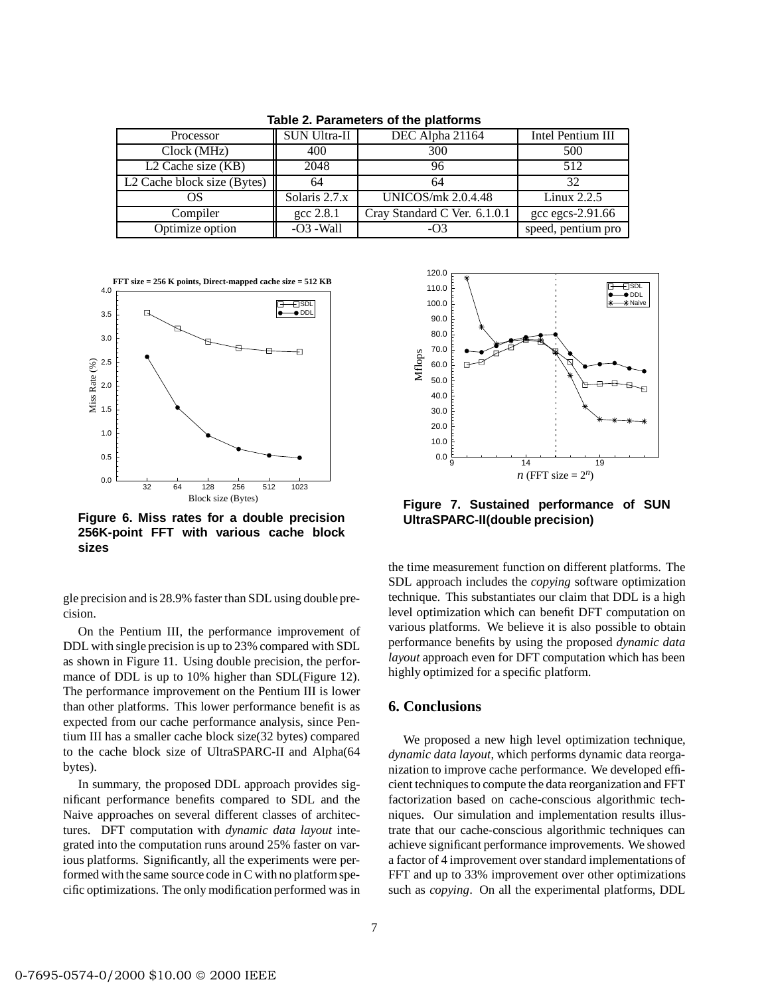| Processor                   | <b>SUN Ultra-II</b> | DEC Alpha 21164              | Intel Pentium III  |
|-----------------------------|---------------------|------------------------------|--------------------|
| Clock (MHz)                 | 400                 | 300                          | 500                |
| L2 Cache size (KB)          | 2048                | 96                           | 512                |
| L2 Cache block size (Bytes) | 64                  | 64                           | 32                 |
|                             | Solaris 2.7.x       | UNICOS/ $mk$ 2.0.4.48        | Linux $2.2.5$      |
| Compiler                    | $\csc 2.8.1$        | Cray Standard C Ver. 6.1.0.1 | gcc egcs-2.91.66   |
| Optimize option             | $-O3 - Wall$        | -03                          | speed, pentium pro |

**Table 2. Parameters of the platforms**



**Figure 6. Miss rates for a double precision 256K-point FFT with various cache block sizes**

gle precision and is 28.9% faster than SDL using double precision.

On the Pentium III, the performance improvement of DDL with single precision is up to 23% compared with SDL as shown in Figure 11. Using double precision, the performance of DDL is up to 10% higher than SDL(Figure 12). The performance improvement on the Pentium III is lower than other platforms. This lower performance benefit is as expected from our cache performance analysis, since Pentium III has a smaller cache block size(32 bytes) compared to the cache block size of UltraSPARC-II and Alpha(64 bytes).

In summary, the proposed DDL approach provides significant performance benefits compared to SDL and the Naive approaches on several different classes of architectures. DFT computation with *dynamic data layout* integrated into the computation runs around 25% faster on various platforms. Significantly, all the experiments were performed with the same source code in C with no platform specific optimizations. The only modification performed was in



**Figure 7. Sustained performance of SUN UltraSPARC-II(double precision)**

the time measurement function on different platforms. The SDL approach includes the *copying* software optimization technique. This substantiates our claim that DDL is a high level optimization which can benefit DFT computation on various platforms. We believe it is also possible to obtain performance benefits by using the proposed *dynamic data layout* approach even for DFT computation which has been highly optimized for a specific platform.

## **6. Conclusions**

We proposed a new high level optimization technique, *dynamic data layout*, which performs dynamic data reorganization to improve cache performance. We developed efficient techniques to compute the data reorganization and FFT factorization based on cache-conscious algorithmic techniques. Our simulation and implementation results illustrate that our cache-conscious algorithmic techniques can achieve significant performance improvements. We showed a factor of 4 improvement over standard implementations of FFT and up to 33% improvement over other optimizations such as *copying*. On all the experimental platforms, DDL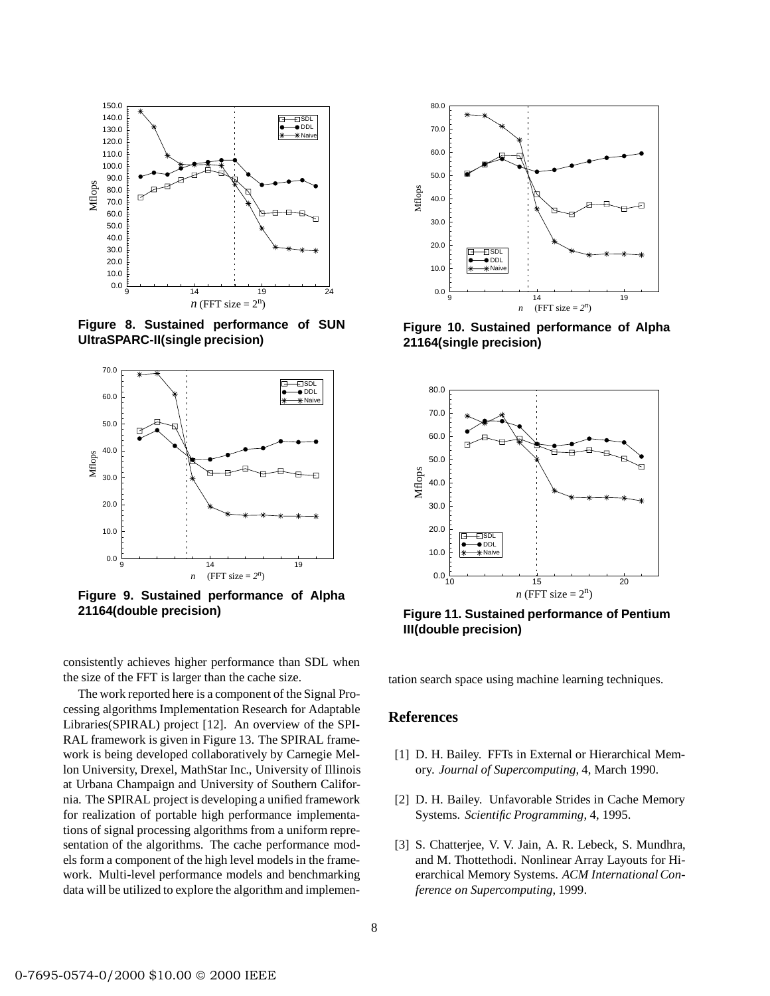

**Figure 8. Sustained performance of SUN UltraSPARC-II(single precision)**



**Figure 9. Sustained performance of Alpha 21164(double precision)**

consistently achieves higher performance than SDL when the size of the FFT is larger than the cache size.

The work reported here is a component of the Signal Processing algorithms Implementation Research for Adaptable Libraries(SPIRAL) project [12]. An overview of the SPI-RAL framework is given in Figure 13. The SPIRAL framework is being developed collaboratively by Carnegie Mellon University, Drexel, MathStar Inc., University of Illinois at Urbana Champaign and University of Southern California. The SPIRAL project is developing a unified framework for realization of portable high performance implementations of signal processing algorithms from a uniform representation of the algorithms. The cache performance models form a component of the high level models in the framework. Multi-level performance models and benchmarking data will be utilized to explore the algorithm and implemen-



**Figure 10. Sustained performance of Alpha 21164(single precision)**



**Figure 11. Sustained performance of Pentium III(double precision)**

tation search space using machine learning techniques.

#### **References**

- [1] D. H. Bailey. FFTs in External or Hierarchical Memory. *Journal of Supercomputing*, 4, March 1990.
- [2] D. H. Bailey. Unfavorable Strides in Cache Memory Systems. *Scientific Programming*, 4, 1995.
- [3] S. Chatterjee, V. V. Jain, A. R. Lebeck, S. Mundhra, and M. Thottethodi. Nonlinear Array Layouts for Hierarchical Memory Systems. *ACM International Conference on Supercomputing*, 1999.